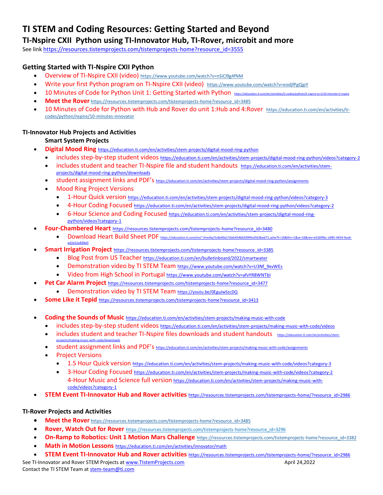# **TI STEM and Coding Resources: Getting Started and Beyond**

# **TI-Nspire CXII Python using TI-Innovator Hub, TI-Rover, microbit and more**

See lin[k https://resources.tistemprojects.com/tistemprojects-home?resource\\_id=3555](https://resources.tistemprojects.com/tistemprojects-home?resource_id=3555)

# **Getting Started with TI-Nspire CXII Python**

- Overview of TI-Nspire CXII (video) [https://www.youtube.com/watch?v=nSiCl9g4fNM](https://nam11.safelinks.protection.outlook.com/?url=https%3A%2F%2Fwww.youtube.com%2Fwatch%3Fv%3DnSiCl9g4fNM&data=04%7C01%7Cconchita.england%40acboe.net%7Cff41f4b3a71349184ae208d9a9d5c6a1%7C95906bbc973947fc9c7faf193d7e5c12%7C0%7C0%7C637727557928895498%7CUnknown%7CTWFpbGZsb3d8eyJWIjoiMC4wLjAwMDAiLCJQIjoiV2luMzIiLCJBTiI6Ik1haWwiLCJXVCI6Mn0%3D%7C3000&sdata=ENzfBQJeIbqG9w%2FS5QqZXHxiu0aQR0CPqzh3fGwkKso%3D&reserved=0)
- Write your first Python program on TI-Nspire CXII (video) [https://www.youtube.com/watch?v=eodjfPgQjpY](https://nam11.safelinks.protection.outlook.com/?url=https%3A%2F%2Fwww.youtube.com%2Fwatch%3Fv%3DeodjfPgQjpY&data=04%7C01%7Cconchita.england%40acboe.net%7Cff41f4b3a71349184ae208d9a9d5c6a1%7C95906bbc973947fc9c7faf193d7e5c12%7C0%7C0%7C637727557928895498%7CUnknown%7CTWFpbGZsb3d8eyJWIjoiMC4wLjAwMDAiLCJQIjoiV2luMzIiLCJBTiI6Ik1haWwiLCJXVCI6Mn0%3D%7C3000&sdata=xjLPr1jzMfrI7466oI5RD2xreTSTGIWnl4dV1f%2FdAp0%3D&reserved=0)
- 10 [Minutes](https://nam11.safelinks.protection.outlook.com/?url=https%3A%2F%2Feducation.ti.com%2Fen%2Factivities%2Fti-codes%2Fpython%2Fnspire%2520%250d10&data=04%7C01%7Cconchita.england%40acboe.net%7Cff41f4b3a71349184ae208d9a9d5c6a1%7C95906bbc973947fc9c7faf193d7e5c12%7C0%7C0%7C637727557928885500%7CUnknown%7CTWFpbGZsb3d8eyJWIjoiMC4wLjAwMDAiLCJQIjoiV2luMzIiLCJBTiI6Ik1haWwiLCJXVCI6Mn0%3D%7C3000&sdata=Pb5yIJlMHifaSAHA1xcSr5tHk2JgIDzxGu7qWsBnsv4%3D&reserved=0) of Code for Python Unit 1: Getting Started with Python https://edu
- **Meet the Rover** [https://resources.tistemprojects.com/tistemprojects-home?resource\\_id=3485](https://resources.tistemprojects.com/tistemprojects-home?resource_id=3485)
- 10 [Minutes](https://nam11.safelinks.protection.outlook.com/?url=https%3A%2F%2Feducation.ti.com%2Fen%2Factivities%2Fti-codes%2Fpython%2Fnspire%2520%250d10&data=04%7C01%7Cconchita.england%40acboe.net%7Cff41f4b3a71349184ae208d9a9d5c6a1%7C95906bbc973947fc9c7faf193d7e5c12%7C0%7C0%7C637727557928885500%7CUnknown%7CTWFpbGZsb3d8eyJWIjoiMC4wLjAwMDAiLCJQIjoiV2luMzIiLCJBTiI6Ik1haWwiLCJXVCI6Mn0%3D%7C3000&sdata=Pb5yIJlMHifaSAHA1xcSr5tHk2JgIDzxGu7qWsBnsv4%3D&reserved=0) of Code for Python with Hub and Rover do unit 1:Hub and 4:Rover [https://education.ti.com/en/activities/ti](https://nam11.safelinks.protection.outlook.com/?url=https%3A%2F%2Feducation.ti.com%2Fen%2Factivities%2Fti-codes%2Fpython%2Fnspire%2F10-minutes-innovator&data=04%7C01%7Cconchita.england%40acboe.net%7Cff41f4b3a71349184ae208d9a9d5c6a1%7C95906bbc973947fc9c7faf193d7e5c12%7C0%7C0%7C637727557928885500%7CUnknown%7CTWFpbGZsb3d8eyJWIjoiMC4wLjAwMDAiLCJQIjoiV2luMzIiLCJBTiI6Ik1haWwiLCJXVCI6Mn0%3D%7C3000&sdata=%2B3Omyjm4YLgKOPKeAeU57ygxpzWphMvTdzEV%2FWjOGOA%3D&reserved=0)[codes/python/nspire/10-minutes-innovator](https://nam11.safelinks.protection.outlook.com/?url=https%3A%2F%2Feducation.ti.com%2Fen%2Factivities%2Fti-codes%2Fpython%2Fnspire%2F10-minutes-innovator&data=04%7C01%7Cconchita.england%40acboe.net%7Cff41f4b3a71349184ae208d9a9d5c6a1%7C95906bbc973947fc9c7faf193d7e5c12%7C0%7C0%7C637727557928885500%7CUnknown%7CTWFpbGZsb3d8eyJWIjoiMC4wLjAwMDAiLCJQIjoiV2luMzIiLCJBTiI6Ik1haWwiLCJXVCI6Mn0%3D%7C3000&sdata=%2B3Omyjm4YLgKOPKeAeU57ygxpzWphMvTdzEV%2FWjOGOA%3D&reserved=0)

## **TI-Innovator Hub Projects and Activities**

## **Smart System Projects**

- **Digital Mood Ring** <https://education.ti.com/en/activities/stem-projects/digital-mood-ring-python>
	- includes step-by-step student videos <https://education.ti.com/en/activities/stem-projects/digital-mood-ring-python/videos?category-2>
	- includes student and teacher TI-Nspire file and student handouts [https://education.ti.com/en/activities/stem](https://education.ti.com/en/activities/stem-projects/digital-mood-ring-python/downloads)[projects/digital-mood-ring-python/downloads](https://education.ti.com/en/activities/stem-projects/digital-mood-ring-python/downloads)
	- student assignment links and PDF's <https://education.ti.com/en/activities/stem-projects/digital-mood-ring-python/assignments>
	- Mood Ring Project Versions
		- 1-Hour Quick version <https://education.ti.com/en/activities/stem-projects/digital-mood-ring-python/videos?category-3>
		- 4-Hour Coding Focused <https://education.ti.com/en/activities/stem-projects/digital-mood-ring-python/videos?category-2>
		- 6-Hour Science and Coding Focused [https://education.ti.com/en/activities/stem-projects/digital-mood-ring](https://education.ti.com/en/activities/stem-projects/digital-mood-ring-python/videos?category-1)[python/videos?category-1](https://education.ti.com/en/activities/stem-projects/digital-mood-ring-python/videos?category-1)
- **Four-Chambered Heart** [https://resources.tistemprojects.com/tistemprojects-home?resource\\_id=3480](https://resources.tistemprojects.com/tistemprojects-home?resource_id=3480)
	- Download Heart Build Sheet PDF https://education.ti.com/en/~/media/5c8e40a17dab454bb039f4cd563bed71.ashx?h=16&thn=1&w=16&rev=e526f9bc-e985-4454-9c [ed2a52a838d3](https://education.ti.com/en/~/media/5c8e40a17dab454bb039f4cd563bed71.ashx?h=16&thn=1&w=16&rev=e526f9bc-e985-4454-9ce6-ed2a52a838d3)
- **Smart Irrigation Project** [https://resources.tistemprojects.com/tistemprojects-home?resource\\_id=3385](https://resources.tistemprojects.com/tistemprojects-home?resource_id=3385)
	- Blog Post from US Teacher <https://education.ti.com/en/bulletinboard/2022/smartwater>
	- Demonstration video by TI STEM Team [https://www.youtube.com/watch?v=U3Nf\\_9xvWEs](https://www.youtube.com/watch?v=U3Nf_9xvWEs)
	- Video from High School in Portugal <https://www.youtube.com/watch?v=afvYR8WNTbI>
- **Pet Car Alarm Project** [https://resources.tistemprojects.com/tistemprojects-home?resource\\_id=3477](https://resources.tistemprojects.com/tistemprojects-home?resource_id=3477)
	- Demonstration video by TI STEM Team <https://youtu.be/0EguJwSzcDQ>
- **Some Like it Tepid** [https://resources.tistemprojects.com/tistemprojects-home?resource\\_id=3413](https://resources.tistemprojects.com/tistemprojects-home?resource_id=3413)
- **Coding the Sounds of Music** <https://education.ti.com/en/activities/stem-projects/making-music-with-code>
	- includes step-by-step student videos <https://education.ti.com/en/activities/stem-projects/making-music-with-code/videos>
	- includes student and teacher TI-Nspire files downloads and student handouts [https://education.ti.com/en/activities/stem-](https://education.ti.com/en/activities/stem-projects/making-music-with-code/downloads)
	- [projects/making-music-with-code/downloads](https://education.ti.com/en/activities/stem-projects/making-music-with-code/downloads) student assignment links and PDF's <https://education.ti.com/en/activities/stem-projects/making-music-with-code/assignments>
	- Project Versions
		- 1.5 Hour Quick version <https://education.ti.com/en/activities/stem-projects/making-music-with-code/videos?category-3>
		- 3-Hour Coding Focused <https://education.ti.com/en/activities/stem-projects/making-music-with-code/videos?category-2> 4-Hour Music and Science full version [https://education.ti.com/en/activities/stem-projects/making-music-with](https://education.ti.com/en/activities/stem-projects/making-music-with-code/videos?category-1)[code/videos?category-1](https://education.ti.com/en/activities/stem-projects/making-music-with-code/videos?category-1)
- **STEM Event TI-Innovator Hub and Rover activities** [https://resources.tistemprojects.com/tistemprojects-home/?resource\\_id=2986](https://resources.tistemprojects.com/tistemprojects-home/?resource_id=2986)

## **TI-Rover Projects and Activities**

- **Meet the Rover** [https://resources.tistemprojects.com/tistemprojects-home?resource\\_id=3485](https://resources.tistemprojects.com/tistemprojects-home?resource_id=3485)
- Rover, Watch Out for Rover [https://resources.tistemprojects.com/tistemprojects-home?resource\\_id=3296](https://resources.tistemprojects.com/tistemprojects-home?resource_id=3296)
- **On-Ramp to Robotics: Unit 1 Motion Mars Challenge** [https://resources.tistemprojects.com/tistemprojects-home?resource\\_id=3382](https://resources.tistemprojects.com/tistemprojects-home?resource_id=3382)
- **Math in Motion Lessons** <https://education.ti.com/en/activities/innovator/math>
- **STEM Event TI-Innovator Hub and Rover activities** [https://resources.tistemprojects.com/tistemprojects-home/?resource\\_id=2986](https://resources.tistemprojects.com/tistemprojects-home/?resource_id=2986)